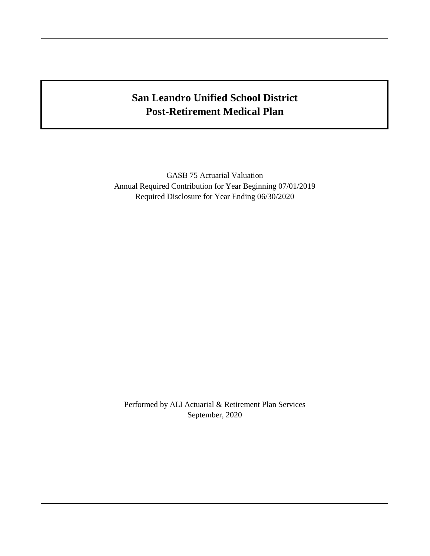# **San Leandro Unified School District Post-Retirement Medical Plan**

GASB 75 Actuarial Valuation Annual Required Contribution for Year Beginning 07/01/2019 Required Disclosure for Year Ending 06/30/2020

Performed by ALI Actuarial & Retirement Plan Services September, 2020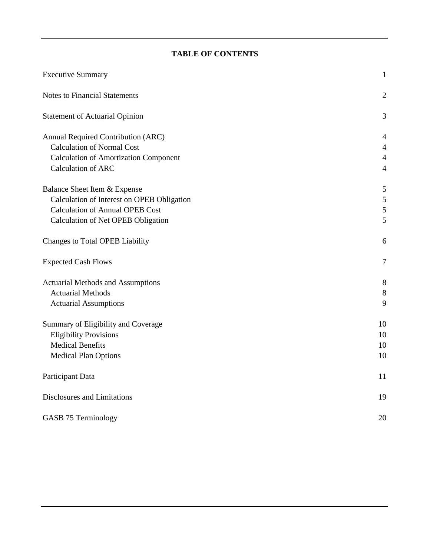# **TABLE OF CONTENTS**

| <b>Executive Summary</b>                     | $\mathbf{1}$   |
|----------------------------------------------|----------------|
| <b>Notes to Financial Statements</b>         | $\mathbf{2}$   |
| <b>Statement of Actuarial Opinion</b>        | 3              |
| Annual Required Contribution (ARC)           | 4              |
| <b>Calculation of Normal Cost</b>            | $\overline{4}$ |
| <b>Calculation of Amortization Component</b> | $\overline{4}$ |
| Calculation of ARC                           | $\overline{4}$ |
| Balance Sheet Item & Expense                 | 5              |
| Calculation of Interest on OPEB Obligation   | $\sqrt{5}$     |
| <b>Calculation of Annual OPEB Cost</b>       | $\mathfrak{S}$ |
| Calculation of Net OPEB Obligation           | 5              |
| Changes to Total OPEB Liability              | 6              |
| <b>Expected Cash Flows</b>                   | $\tau$         |
| <b>Actuarial Methods and Assumptions</b>     | 8              |
| <b>Actuarial Methods</b>                     | $\,8\,$        |
| <b>Actuarial Assumptions</b>                 | 9              |
| Summary of Eligibility and Coverage          | 10             |
| <b>Eligibility Provisions</b>                | 10             |
| <b>Medical Benefits</b>                      | 10             |
| <b>Medical Plan Options</b>                  | 10             |
| Participant Data                             | 11             |
| Disclosures and Limitations                  | 19             |
| GASB 75 Terminology                          | 20             |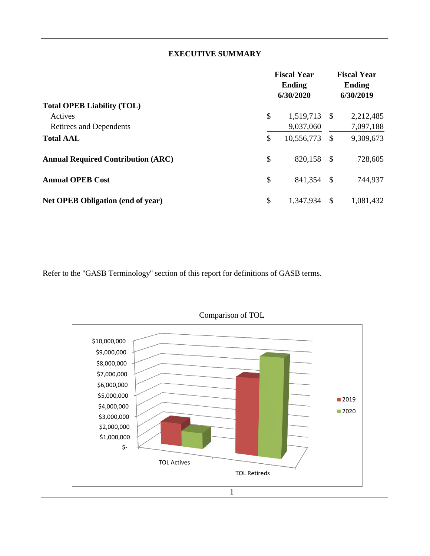## **EXECUTIVE SUMMARY**

|                                           | <b>Fiscal Year</b><br><b>Ending</b><br>6/30/2020 |      | <b>Fiscal Year</b><br><b>Ending</b><br>6/30/2019 |
|-------------------------------------------|--------------------------------------------------|------|--------------------------------------------------|
| <b>Total OPEB Liability (TOL)</b>         |                                                  |      |                                                  |
| Actives                                   | \$<br>1,519,713 \$                               |      | 2,212,485                                        |
| Retirees and Dependents                   | 9,037,060                                        |      | 7,097,188                                        |
| <b>Total AAL</b>                          | \$<br>10,556,773                                 | - \$ | 9,309,673                                        |
| <b>Annual Required Contribution (ARC)</b> | \$<br>820,158 \$                                 |      | 728,605                                          |
| <b>Annual OPEB Cost</b>                   | \$<br>841,354 \$                                 |      | 744,937                                          |
| <b>Net OPEB Obligation (end of year)</b>  | \$<br>1,347,934                                  | -S   | 1,081,432                                        |

Refer to the "GASB Terminology" section of this report for definitions of GASB terms.



Comparison of TOL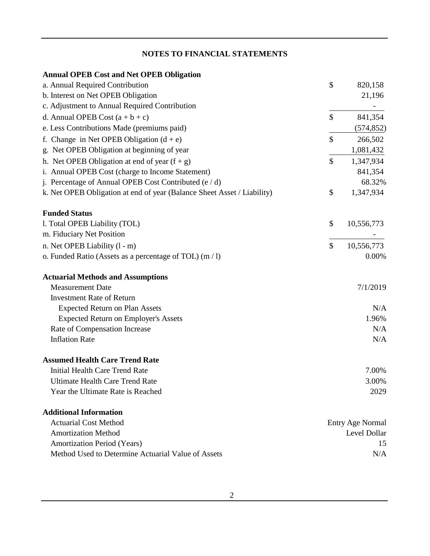# **NOTES TO FINANCIAL STATEMENTS**

| <b>Annual OPEB Cost and Net OPEB Obligation</b>                         |                         |
|-------------------------------------------------------------------------|-------------------------|
| a. Annual Required Contribution                                         | \$<br>820,158           |
| b. Interest on Net OPEB Obligation                                      | 21,196                  |
| c. Adjustment to Annual Required Contribution                           |                         |
| d. Annual OPEB Cost $(a + b + c)$                                       | \$<br>841,354           |
| e. Less Contributions Made (premiums paid)                              | (574, 852)              |
| f. Change in Net OPEB Obligation $(d + e)$                              | \$<br>266,502           |
| g. Net OPEB Obligation at beginning of year                             | 1,081,432               |
| h. Net OPEB Obligation at end of year $(f + g)$                         | \$<br>1,347,934         |
| i. Annual OPEB Cost (charge to Income Statement)                        | 841,354                 |
| j. Percentage of Annual OPEB Cost Contributed (e / d)                   | 68.32%                  |
| k. Net OPEB Obligation at end of year (Balance Sheet Asset / Liability) | \$<br>1,347,934         |
| <b>Funded Status</b>                                                    |                         |
| l. Total OPEB Liability (TOL)                                           | \$<br>10,556,773        |
| m. Fiduciary Net Position                                               |                         |
| n. Net OPEB Liability (1 - m)                                           | \$<br>10,556,773        |
| o. Funded Ratio (Assets as a percentage of TOL) (m / l)                 | 0.00%                   |
| <b>Actuarial Methods and Assumptions</b>                                |                         |
| <b>Measurement Date</b>                                                 | 7/1/2019                |
| <b>Investment Rate of Return</b>                                        |                         |
| <b>Expected Return on Plan Assets</b>                                   | N/A                     |
| <b>Expected Return on Employer's Assets</b>                             | 1.96%                   |
| Rate of Compensation Increase                                           | N/A                     |
| <b>Inflation Rate</b>                                                   | N/A                     |
| <b>Assumed Health Care Trend Rate</b>                                   |                         |
| Initial Health Care Trend Rate                                          | 7.00%                   |
| <b>Ultimate Health Care Trend Rate</b>                                  | 3.00%                   |
| Year the Ultimate Rate is Reached                                       | 2029                    |
| <b>Additional Information</b>                                           |                         |
| <b>Actuarial Cost Method</b>                                            | <b>Entry Age Normal</b> |
| <b>Amortization Method</b>                                              | Level Dollar            |
| <b>Amortization Period (Years)</b>                                      | 15                      |
| Method Used to Determine Actuarial Value of Assets                      | N/A                     |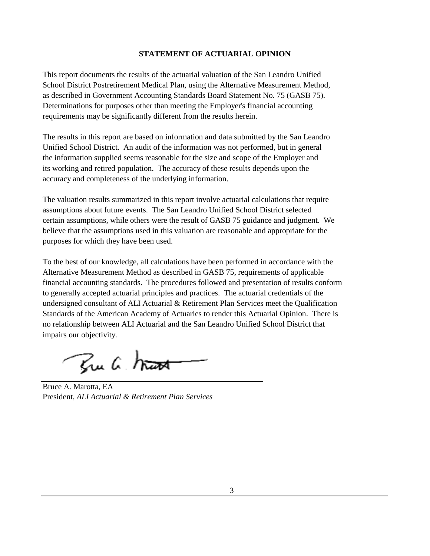#### **STATEMENT OF ACTUARIAL OPINION**

This report documents the results of the actuarial valuation of the San Leandro Unified School District Postretirement Medical Plan, using the Alternative Measurement Method, as described in Government Accounting Standards Board Statement No. 75 (GASB 75). Determinations for purposes other than meeting the Employer's financial accounting requirements may be significantly different from the results herein.

The results in this report are based on information and data submitted by the San Leandro Unified School District. An audit of the information was not performed, but in general the information supplied seems reasonable for the size and scope of the Employer and its working and retired population. The accuracy of these results depends upon the accuracy and completeness of the underlying information.

The valuation results summarized in this report involve actuarial calculations that require assumptions about future events. The San Leandro Unified School District selected certain assumptions, while others were the result of GASB 75 guidance and judgment. We believe that the assumptions used in this valuation are reasonable and appropriate for the purposes for which they have been used.

To the best of our knowledge, all calculations have been performed in accordance with the Alternative Measurement Method as described in GASB 75, requirements of applicable financial accounting standards. The procedures followed and presentation of results conform to generally accepted actuarial principles and practices. The actuarial credentials of the undersigned consultant of ALI Actuarial & Retirement Plan Services meet the Qualification Standards of the American Academy of Actuaries to render this Actuarial Opinion. There is no relationship between ALI Actuarial and the San Leandro Unified School District that impairs our objectivity.

Bu a hat

Bruce A. Marotta, EA President, *ALI Actuarial & Retirement Plan Services*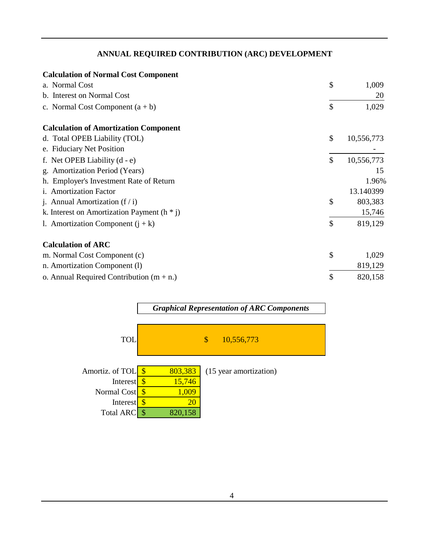## **ANNUAL REQUIRED CONTRIBUTION (ARC) DEVELOPMENT**

| <b>Calculation of Normal Cost Component</b>     |                  |
|-------------------------------------------------|------------------|
| a. Normal Cost                                  | \$<br>1,009      |
| b. Interest on Normal Cost                      | 20               |
| c. Normal Cost Component $(a + b)$              | \$<br>1,029      |
| <b>Calculation of Amortization Component</b>    |                  |
| d. Total OPEB Liability (TOL)                   | \$<br>10,556,773 |
| e. Fiduciary Net Position                       |                  |
| f. Net OPEB Liability $(d - e)$                 | \$<br>10,556,773 |
| g. Amortization Period (Years)                  | 15               |
| h. Employer's Investment Rate of Return         | 1.96%            |
| i. Amortization Factor                          | 13.140399        |
| j. Annual Amortization $(f / i)$                | \$<br>803,383    |
| k. Interest on Amortization Payment ( $h * j$ ) | 15,746           |
| 1. Amortization Component $(j + k)$             | \$<br>819,129    |
| <b>Calculation of ARC</b>                       |                  |
| m. Normal Cost Component (c)                    | \$<br>1,029      |
| n. Amortization Component (1)                   | 819,129          |
| o. Annual Required Contribution $(m + n)$       | \$<br>820,158    |

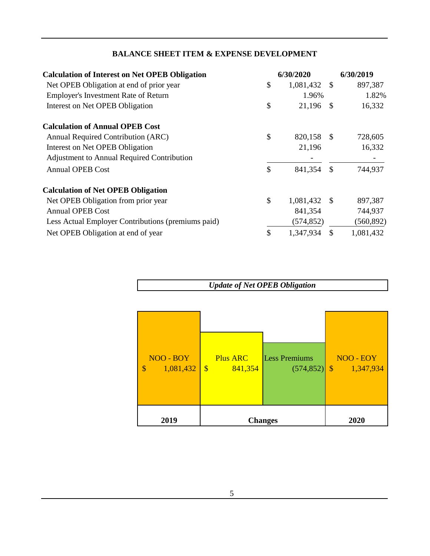| <b>BALANCE SHEET ITEM &amp; EXPENSE DEVELOPMENT</b> |  |  |  |
|-----------------------------------------------------|--|--|--|
|                                                     |  |  |  |

| <b>Calculation of Interest on Net OPEB Obligation</b> | 6/30/2020       |               | 6/30/2019  |
|-------------------------------------------------------|-----------------|---------------|------------|
| Net OPEB Obligation at end of prior year              | \$<br>1,081,432 | -S            | 897,387    |
| <b>Employer's Investment Rate of Return</b>           | 1.96%           |               | 1.82%      |
| Interest on Net OPEB Obligation                       | \$<br>21,196    | <sup>\$</sup> | 16,332     |
| <b>Calculation of Annual OPEB Cost</b>                |                 |               |            |
| Annual Required Contribution (ARC)                    | \$<br>820,158   | -S            | 728,605    |
| Interest on Net OPEB Obligation                       | 21,196          |               | 16,332     |
| <b>Adjustment to Annual Required Contribution</b>     |                 |               |            |
| <b>Annual OPEB Cost</b>                               | \$<br>841,354   | \$            | 744,937    |
| <b>Calculation of Net OPEB Obligation</b>             |                 |               |            |
| Net OPEB Obligation from prior year                   | \$<br>1,081,432 | -S            | 897,387    |
| <b>Annual OPEB Cost</b>                               | 841,354         |               | 744,937    |
| Less Actual Employer Contributions (premiums paid)    | (574, 852)      |               | (560, 892) |
| Net OPEB Obligation at end of year                    | \$<br>1,347,934 |               | 1,081,432  |

*Update of Net OPEB Obligation*

| NOO - BOY<br>1,081,432<br>$\boldsymbol{\mathsf{S}}$ | <b>Plus ARC</b><br>$\sqrt[3]{\frac{1}{2}}$<br>841,354 | <b>Less Premiums</b><br>$(574, 852)$ \$ | NOO - EOY<br>1,347,934 |
|-----------------------------------------------------|-------------------------------------------------------|-----------------------------------------|------------------------|
| 2019                                                | <b>Changes</b>                                        |                                         | 2020                   |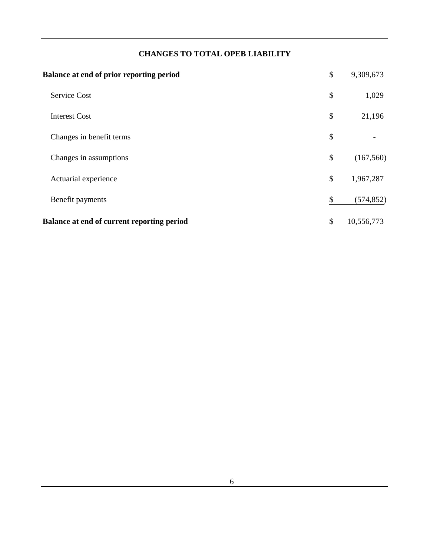## **CHANGES TO TOTAL OPEB LIABILITY**

| <b>Balance at end of prior reporting period</b>   | \$<br>9,309,673  |
|---------------------------------------------------|------------------|
| Service Cost                                      | \$<br>1,029      |
| <b>Interest Cost</b>                              | \$<br>21,196     |
| Changes in benefit terms                          | \$               |
| Changes in assumptions                            | \$<br>(167, 560) |
| Actuarial experience                              | \$<br>1,967,287  |
| Benefit payments                                  | \$<br>(574, 852) |
| <b>Balance at end of current reporting period</b> | \$<br>10,556,773 |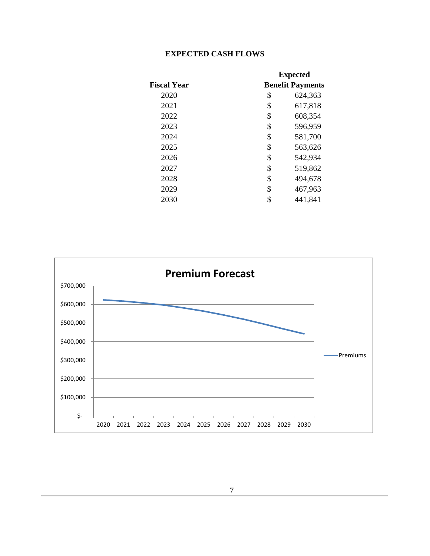## **EXPECTED CASH FLOWS**

|                    | <b>Expected</b>         |
|--------------------|-------------------------|
| <b>Fiscal Year</b> | <b>Benefit Payments</b> |
| 2020               | \$<br>624,363           |
| 2021               | \$<br>617,818           |
| 2022               | \$<br>608,354           |
| 2023               | \$<br>596,959           |
| 2024               | \$<br>581,700           |
| 2025               | \$<br>563,626           |
| 2026               | \$<br>542,934           |
| 2027               | \$<br>519,862           |
| 2028               | \$<br>494,678           |
| 2029               | \$<br>467,963           |
| 2030               | \$<br>441,841           |

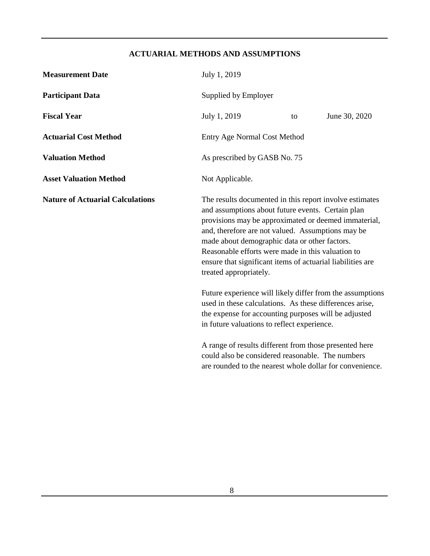## **ACTUARIAL METHODS AND ASSUMPTIONS**

| <b>Measurement Date</b>                 | July 1, 2019                                                                                                                                                                                                                                                                                                                                                                                                            |    |               |
|-----------------------------------------|-------------------------------------------------------------------------------------------------------------------------------------------------------------------------------------------------------------------------------------------------------------------------------------------------------------------------------------------------------------------------------------------------------------------------|----|---------------|
| <b>Participant Data</b>                 | Supplied by Employer                                                                                                                                                                                                                                                                                                                                                                                                    |    |               |
| <b>Fiscal Year</b>                      | July 1, 2019                                                                                                                                                                                                                                                                                                                                                                                                            | to | June 30, 2020 |
| <b>Actuarial Cost Method</b>            | <b>Entry Age Normal Cost Method</b>                                                                                                                                                                                                                                                                                                                                                                                     |    |               |
| <b>Valuation Method</b>                 | As prescribed by GASB No. 75                                                                                                                                                                                                                                                                                                                                                                                            |    |               |
| <b>Asset Valuation Method</b>           | Not Applicable.                                                                                                                                                                                                                                                                                                                                                                                                         |    |               |
| <b>Nature of Actuarial Calculations</b> | The results documented in this report involve estimates<br>and assumptions about future events. Certain plan<br>provisions may be approximated or deemed immaterial,<br>and, therefore are not valued. Assumptions may be<br>made about demographic data or other factors.<br>Reasonable efforts were made in this valuation to<br>ensure that significant items of actuarial liabilities are<br>treated appropriately. |    |               |
|                                         | Future experience will likely differ from the assumptions<br>used in these calculations. As these differences arise,<br>the expense for accounting purposes will be adjusted<br>in future valuations to reflect experience.                                                                                                                                                                                             |    |               |
|                                         | A range of results different from those presented here<br>could also be considered reasonable. The numbers<br>are rounded to the nearest whole dollar for convenience.                                                                                                                                                                                                                                                  |    |               |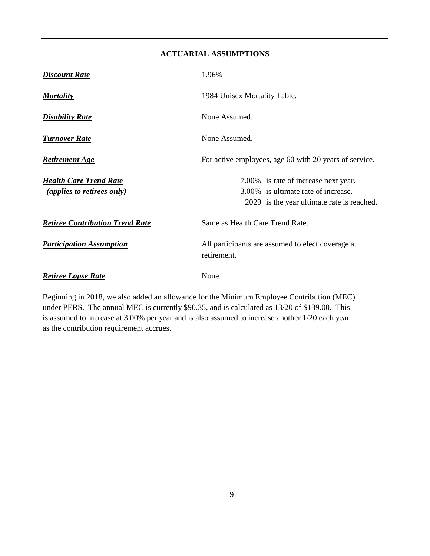#### **ACTUARIAL ASSUMPTIONS**

| <b>Discount Rate</b>                                        | 1.96%                                                                                                                     |  |  |
|-------------------------------------------------------------|---------------------------------------------------------------------------------------------------------------------------|--|--|
| <b>Mortality</b>                                            | 1984 Unisex Mortality Table.                                                                                              |  |  |
| <b>Disability Rate</b>                                      | None Assumed.                                                                                                             |  |  |
| <b>Turnover Rate</b>                                        | None Assumed.                                                                                                             |  |  |
| <b>Retirement Age</b>                                       | For active employees, age 60 with 20 years of service.                                                                    |  |  |
| <b>Health Care Trend Rate</b><br>(applies to retirees only) | 7.00% is rate of increase next year.<br>3.00% is ultimate rate of increase.<br>2029 is the year ultimate rate is reached. |  |  |
| <b>Retiree Contribution Trend Rate</b>                      | Same as Health Care Trend Rate.                                                                                           |  |  |
| <b>Participation Assumption</b>                             | All participants are assumed to elect coverage at<br>retirement.                                                          |  |  |
| <b>Retiree Lapse Rate</b>                                   | None.                                                                                                                     |  |  |

Beginning in 2018, we also added an allowance for the Minimum Employee Contribution (MEC) under PERS. The annual MEC is currently \$90.35, and is calculated as 13/20 of \$139.00. This is assumed to increase at 3.00% per year and is also assumed to increase another 1/20 each year as the contribution requirement accrues.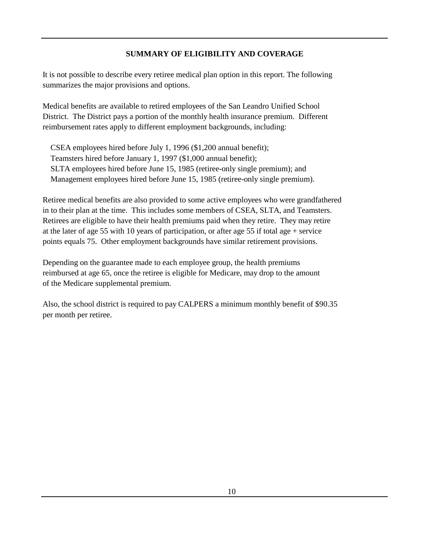#### **SUMMARY OF ELIGIBILITY AND COVERAGE**

It is not possible to describe every retiree medical plan option in this report. The following summarizes the major provisions and options.

Medical benefits are available to retired employees of the San Leandro Unified School District. The District pays a portion of the monthly health insurance premium. Different reimbursement rates apply to different employment backgrounds, including:

 CSEA employees hired before July 1, 1996 (\$1,200 annual benefit); Teamsters hired before January 1, 1997 (\$1,000 annual benefit); SLTA employees hired before June 15, 1985 (retiree-only single premium); and Management employees hired before June 15, 1985 (retiree-only single premium).

Retiree medical benefits are also provided to some active employees who were grandfathered in to their plan at the time. This includes some members of CSEA, SLTA, and Teamsters. Retirees are eligible to have their health premiums paid when they retire. They may retire at the later of age 55 with 10 years of participation, or after age 55 if total age + service points equals 75. Other employment backgrounds have similar retirement provisions.

Depending on the guarantee made to each employee group, the health premiums reimbursed at age 65, once the retiree is eligible for Medicare, may drop to the amount of the Medicare supplemental premium.

Also, the school district is required to pay CALPERS a minimum monthly benefit of \$90.35 per month per retiree.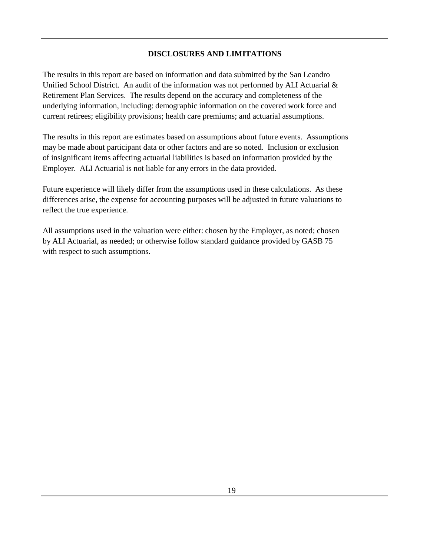#### **DISCLOSURES AND LIMITATIONS**

The results in this report are based on information and data submitted by the San Leandro Unified School District. An audit of the information was not performed by ALI Actuarial & Retirement Plan Services. The results depend on the accuracy and completeness of the underlying information, including: demographic information on the covered work force and current retirees; eligibility provisions; health care premiums; and actuarial assumptions.

The results in this report are estimates based on assumptions about future events. Assumptions may be made about participant data or other factors and are so noted. Inclusion or exclusion of insignificant items affecting actuarial liabilities is based on information provided by the Employer. ALI Actuarial is not liable for any errors in the data provided.

Future experience will likely differ from the assumptions used in these calculations. As these differences arise, the expense for accounting purposes will be adjusted in future valuations to reflect the true experience.

All assumptions used in the valuation were either: chosen by the Employer, as noted; chosen by ALI Actuarial, as needed; or otherwise follow standard guidance provided by GASB 75 with respect to such assumptions.